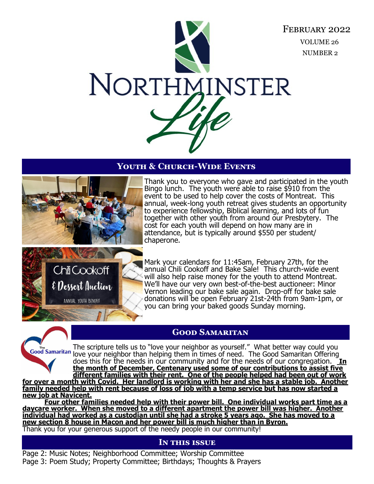

## **Youth & Church-Wide Events**



Thank you to everyone who gave and participated in the youth Bingo lunch. The youth were able to raise  $$910$  from the event to be used to help cover the costs of Montreat. This annual, week-long youth retreat gives students an opportunity to experience fellowship, Biblical learning, and lots of fun together with other youth from around our Presbytery. The cost for each youth will depend on how many are in attendance, but is typically around \$550 per student/ chaperone.



Mark your calendars for 11:45am, February 27th, for the annual Chili Cookoff and Bake Sale! This church-wide event will also help raise money for the youth to attend Montreat. We'll have our very own best-of-the-best auctioneer: Minor Vernon leading our bake sale again. Drop-off for bake sale donations will be open February 21st-24th from 9am-1pm, or you can bring your baked goods Sunday morning.



The scripture tells us to "love your neighbor as yourself." What better way could you Good Samaritan love your neighbor than helping them in times of need. The Good Samaritan Offering does this for the needs in our community and for the needs of our congregation. **In the month of December, Centenary used some of our contributions to assist five different families with their rent. One of the people helped had been out of work for over a month with Covid. Her landlord is working with her and she has a stable job. Another family needed help with rent because of loss of job with a temp service but has now started a new job at Navicent.** 

**Four other families needed help with their power bill. One individual works part time as a daycare worker. When she moved to a different apartment the power bill was higher. Another individual had worked as a custodian until she had a stroke 5 years ago. She has moved to a new section 8 house in Macon and her power bill is much higher than in Byron.**  Thank you for your generous support of the needy people in our community!

## **In this issue**

Page 2: Music Notes; Neighborhood Committee; Worship Committee Page 3: Poem Study; Property Committee; Birthdays; Thoughts & Prayers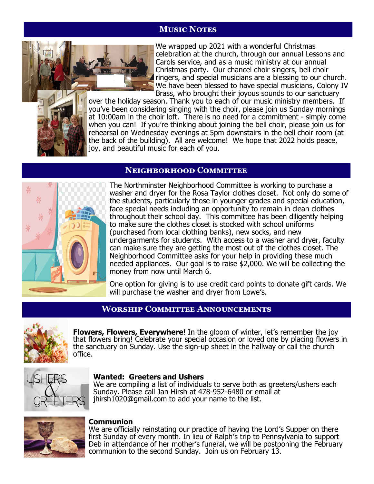## **Music Notes**



We wrapped up 2021 with a wonderful Christmas celebration at the church, through our annual Lessons and Carols service, and as a music ministry at our annual Christmas party. Our chancel choir singers, bell choir ringers, and special musicians are a blessing to our church. We have been blessed to have special musicians, Colony IV Brass, who brought their joyous sounds to our sanctuary

over the holiday season. Thank you to each of our music ministry members. If you've been considering singing with the choir, please join us Sunday mornings at 10:00am in the choir loft. There is no need for a commitment - simply come when you can! If you're thinking about joining the bell choir, please join us for rehearsal on Wednesday evenings at 5pm downstairs in the bell choir room (at the back of the building). All are welcome! We hope that 2022 holds peace, joy, and beautiful music for each of you.

## **Neighborhood Committee**



The Northminster Neighborhood Committee is working to purchase a washer and dryer for the Rosa Taylor clothes closet. Not only do some of the students, particularly those in younger grades and special education, face special needs including an opportunity to remain in clean clothes throughout their school day. This committee has been diligently helping to make sure the clothes closet is stocked with school uniforms (purchased from local clothing banks), new socks, and new undergarments for students. With access to a washer and dryer, faculty can make sure they are getting the most out of the clothes closet. The Neighborhood Committee asks for your help in providing these much needed appliances. Our goal is to raise \$2,000. We will be collecting the money from now until March 6.

One option for giving is to use credit card points to donate gift cards. We will purchase the washer and dryer from Lowe's.

## **Worship Committee Announcements**



**Flowers, Flowers, Everywhere!** In the gloom of winter, let's remember the joy that flowers bring! Celebrate your special occasion or loved one by placing flowers in the sanctuary on Sunday. Use the sign-up sheet in the hallway or call the church office.



#### **Wanted: Greeters and Ushers**

We are compiling a list of individuals to serve both as greeters/ushers each Sunday. Please call Jan Hirsh at 478-952-6480 or email at jhirsh1020@gmail.com to add your name to the list.



#### **Communion**

We are officially reinstating our practice of having the Lord's Supper on there first Sunday of every month. In lieu of Ralph's trip to Pennsylvania to support Deb in attendance of her mother's funeral, we will be postponing the February communion to the second Sunday. Join us on February 13.